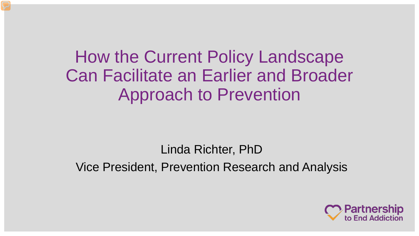How the Current Policy Landscape Can Facilitate an Earlier and Broader Approach to Prevention

Linda Richter, PhD Vice President, Prevention Research and Analysis

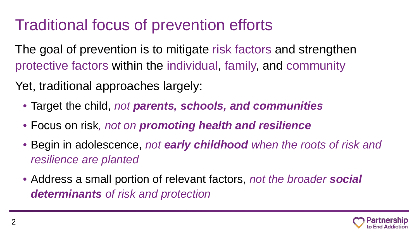# Traditional focus of prevention efforts

The goal of prevention is to mitigate risk factors and strengthen protective factors within the individual, family, and community

Yet, traditional approaches largely:

- Target the child, *not parents, schools, and communities*
- Focus on risk*, not on promoting health and resilience*
- Begin in adolescence, *not early childhood when the roots of risk and resilience are planted*
- Address a small portion of relevant factors, *not the broader social determinants of risk and protection*

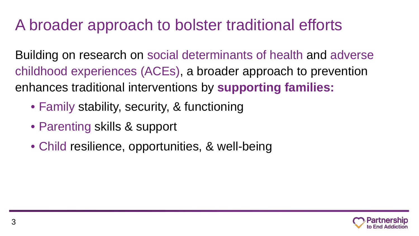# A broader approach to bolster traditional efforts

Building on research on social determinants of health and adverse childhood experiences (ACEs), a broader approach to prevention enhances traditional interventions by **supporting families:**

- Family stability, security, & functioning
- Parenting skills & support
- Child resilience, opportunities, & well-being

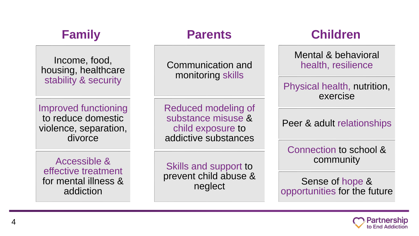### **Family**

Income, food, housing, healthcare stability & security

Improved functioning to reduce domestic violence, separation, divorce

Communication and monitoring skills

Reduced modeling of substance misuse & child exposure to addictive substances

Accessible & effective treatment for mental illness & addiction

Skills and support to prevent child abuse & neglect

#### **Parents Children**

Mental & behavioral health, resilience

Physical health, nutrition, exercise

Peer & adult relationships

Connection to school & community

Sense of hope & opportunities for the future

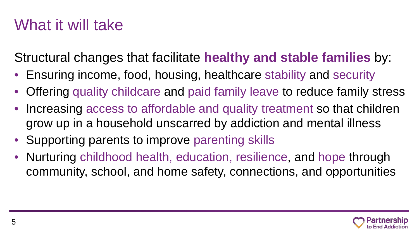# What it will take

Structural changes that facilitate **healthy and stable families** by:

- Ensuring income, food, housing, healthcare stability and security
- Offering quality childcare and paid family leave to reduce family stress
- Increasing access to affordable and quality treatment so that children grow up in a household unscarred by addiction and mental illness
- Supporting parents to improve parenting skills
- Nurturing childhood health, education, resilience, and hope through community, school, and home safety, connections, and opportunities

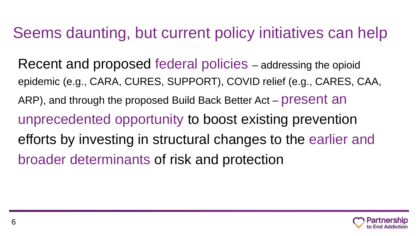## Seems daunting, but current policy initiatives can help

Recent and proposed federal policies – addressing the opioid epidemic (e.g., CARA, CURES, SUPPORT), COVID relief (e.g., CARES, CAA, ARP), and through the proposed Build Back Better Act – present an unprecedented opportunity to boost existing prevention efforts by investing in structural changes to the earlier and broader determinants of risk and protection

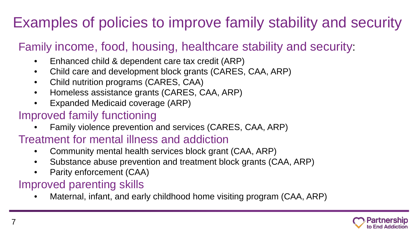# Examples of policies to improve family stability and security

#### Family income, food, housing, healthcare stability and security:

- Enhanced child & dependent care tax credit (ARP)
- Child care and development block grants (CARES, CAA, ARP)
- Child nutrition programs (CARES, CAA)
- Homeless assistance grants (CARES, CAA, ARP)
- Expanded Medicaid coverage (ARP)

#### Improved family functioning

• Family violence prevention and services (CARES, CAA, ARP)

#### Treatment for mental illness and addiction

- Community mental health services block grant (CAA, ARP)
- Substance abuse prevention and treatment block grants (CAA, ARP)
- Parity enforcement (CAA)

#### Improved parenting skills

• Maternal, infant, and early childhood home visiting program (CAA, ARP)

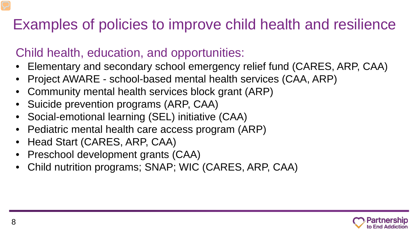## Examples of policies to improve child health and resilience

### Child health, education, and opportunities:

- Elementary and secondary school emergency relief fund (CARES, ARP, CAA)
- Project AWARE school-based mental health services (CAA, ARP)
- Community mental health services block grant (ARP)
- Suicide prevention programs (ARP, CAA)
- Social-emotional learning (SEL) initiative (CAA)
- Pediatric mental health care access program (ARP)
- Head Start (CARES, ARP, CAA)
- Preschool development grants (CAA)
- Child nutrition programs; SNAP; WIC (CARES, ARP, CAA)

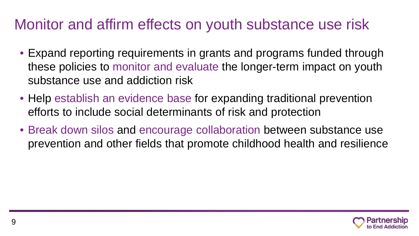### Monitor and affirm effects on youth substance use risk

- Expand reporting requirements in grants and programs funded through these policies to monitor and evaluate the longer-term impact on youth substance use and addiction risk
- Help establish an evidence base for expanding traditional prevention efforts to include social determinants of risk and protection
- Break down silos and encourage collaboration between substance use prevention and other fields that promote childhood health and resilience